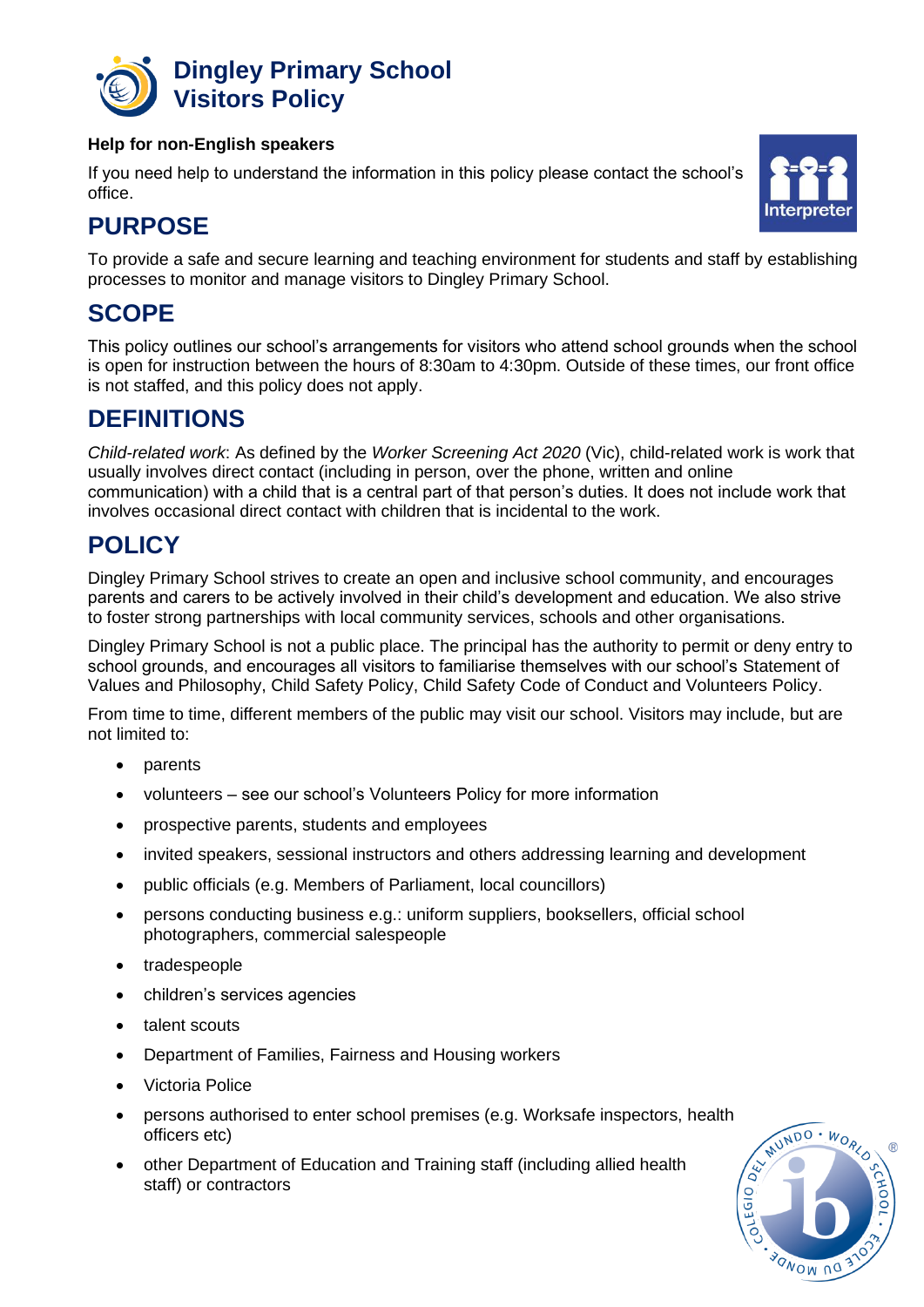

#### **Help for non-English speakers**

If you need help to understand the information in this policy please contact the school's office.



# **PURPOSE**

To provide a safe and secure learning and teaching environment for students and staff by establishing processes to monitor and manage visitors to Dingley Primary School.

### **SCOPE**

This policy outlines our school's arrangements for visitors who attend school grounds when the school is open for instruction between the hours of 8:30am to 4:30pm. Outside of these times, our front office is not staffed, and this policy does not apply.

## **DEFINITIONS**

*Child-related work*: As defined by the *Worker Screening Act 2020* (Vic), child-related work is work that usually involves direct contact (including in person, over the phone, written and online communication) with a child that is a central part of that person's duties. It does not include work that involves occasional direct contact with children that is incidental to the work.

## **POLICY**

Dingley Primary School strives to create an open and inclusive school community, and encourages parents and carers to be actively involved in their child's development and education. We also strive to foster strong partnerships with local community services, schools and other organisations.

Dingley Primary School is not a public place. The principal has the authority to permit or deny entry to school grounds, and encourages all visitors to familiarise themselves with our school's Statement of Values and Philosophy, Child Safety Policy, Child Safety Code of Conduct and Volunteers Policy.

From time to time, different members of the public may visit our school. Visitors may include, but are not limited to:

- parents
- volunteers see our school's Volunteers Policy for more information
- prospective parents, students and employees
- invited speakers, sessional instructors and others addressing learning and development
- public officials (e.g. Members of Parliament, local councillors)
- persons conducting business e.g.: uniform suppliers, booksellers, official school photographers, commercial salespeople
- tradespeople
- children's services agencies
- talent scouts
- Department of Families, Fairness and Housing workers
- Victoria Police
- persons authorised to enter school premises (e.g. Worksafe inspectors, health officers etc)
- other Department of Education and Training staff (including allied health staff) or contractors

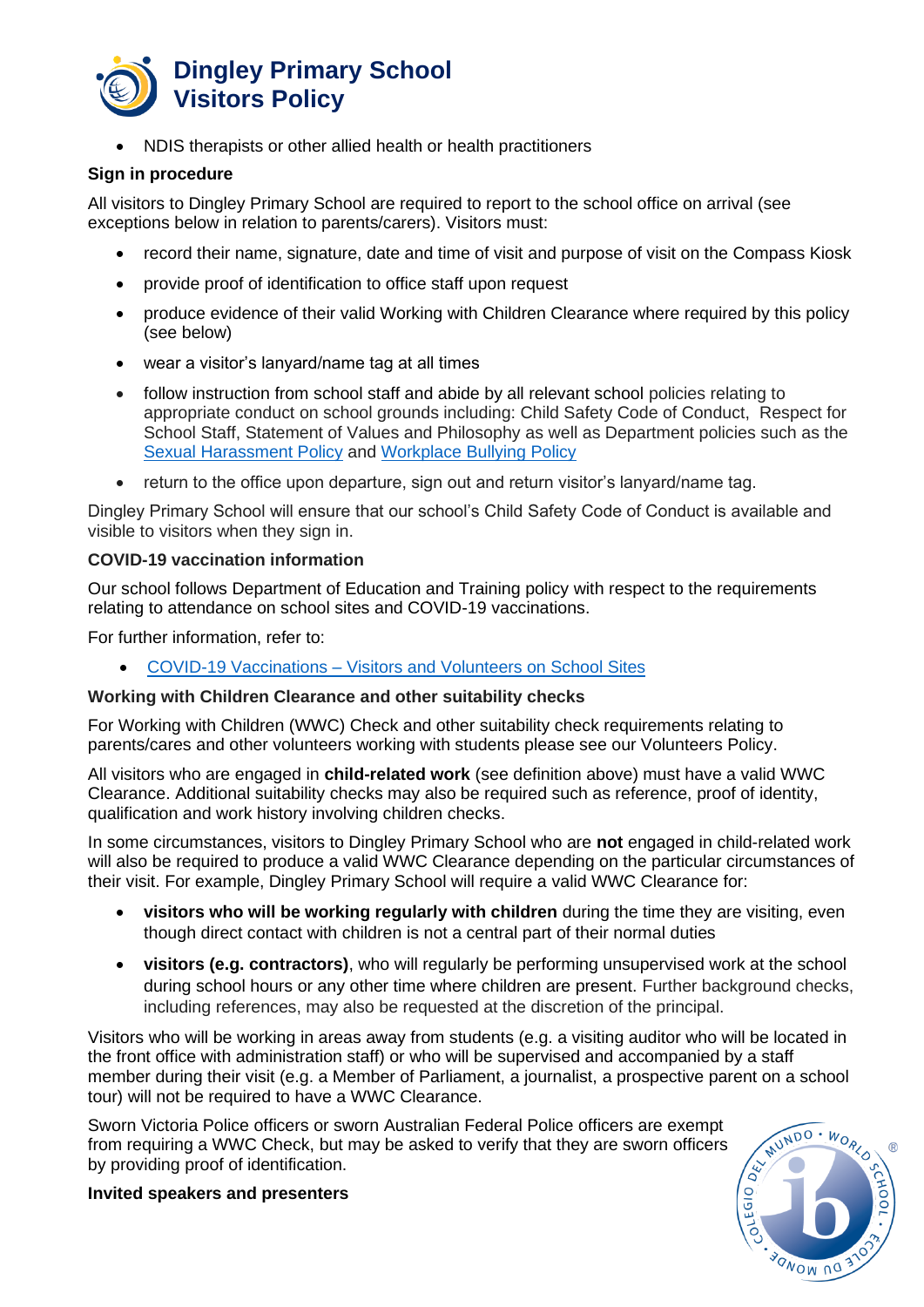

• NDIS therapists or other allied health or health practitioners

#### **Sign in procedure**

All visitors to Dingley Primary School are required to report to the school office on arrival (see exceptions below in relation to parents/carers). Visitors must:

- record their name, signature, date and time of visit and purpose of visit on the Compass Kiosk
- provide proof of identification to office staff upon request
- produce evidence of their valid Working with Children Clearance where required by this policy (see below)
- wear a visitor's lanyard/name tag at all times
- follow instruction from school staff and abide by all relevant school policies relating to appropriate conduct on school grounds including: Child Safety Code of Conduct, Respect for School Staff, Statement of Values and Philosophy as well as Department policies such as the [Sexual Harassment Policy](https://www2.education.vic.gov.au/pal/sexual-harassment/overview) and [Workplace Bullying Policy](https://www2.education.vic.gov.au/pal/workplace-bullying/policy)
- return to the office upon departure, sign out and return visitor's lanyard/name tag.

Dingley Primary School will ensure that our school's Child Safety Code of Conduct is available and visible to visitors when they sign in.

#### **COVID-19 vaccination information**

Our school follows Department of Education and Training policy with respect to the requirements relating to attendance on school sites and COVID-19 vaccinations.

For further information, refer to:

• COVID-19 Vaccinations – [Visitors and Volunteers on School Sites](https://www2.education.vic.gov.au/pal/covid-19-vaccinations-visitors-volunteers/policy)

#### **Working with Children Clearance and other suitability checks**

For Working with Children (WWC) Check and other suitability check requirements relating to parents/cares and other volunteers working with students please see our Volunteers Policy.

All visitors who are engaged in **child-related work** (see definition above) must have a valid WWC Clearance. Additional suitability checks may also be required such as reference, proof of identity, qualification and work history involving children checks.

In some circumstances, visitors to Dingley Primary School who are **not** engaged in child-related work will also be required to produce a valid WWC Clearance depending on the particular circumstances of their visit. For example, Dingley Primary School will require a valid WWC Clearance for:

- **visitors who will be working regularly with children** during the time they are visiting, even though direct contact with children is not a central part of their normal duties
- **visitors (e.g. contractors)**, who will regularly be performing unsupervised work at the school during school hours or any other time where children are present. Further background checks, including references, may also be requested at the discretion of the principal.

Visitors who will be working in areas away from students (e.g. a visiting auditor who will be located in the front office with administration staff) or who will be supervised and accompanied by a staff member during their visit (e.g. a Member of Parliament, a journalist, a prospective parent on a school tour) will not be required to have a WWC Clearance.

Sworn Victoria Police officers or sworn Australian Federal Police officers are exempt from requiring a WWC Check, but may be asked to verify that they are sworn officers by providing proof of identification.



**Invited speakers and presenters**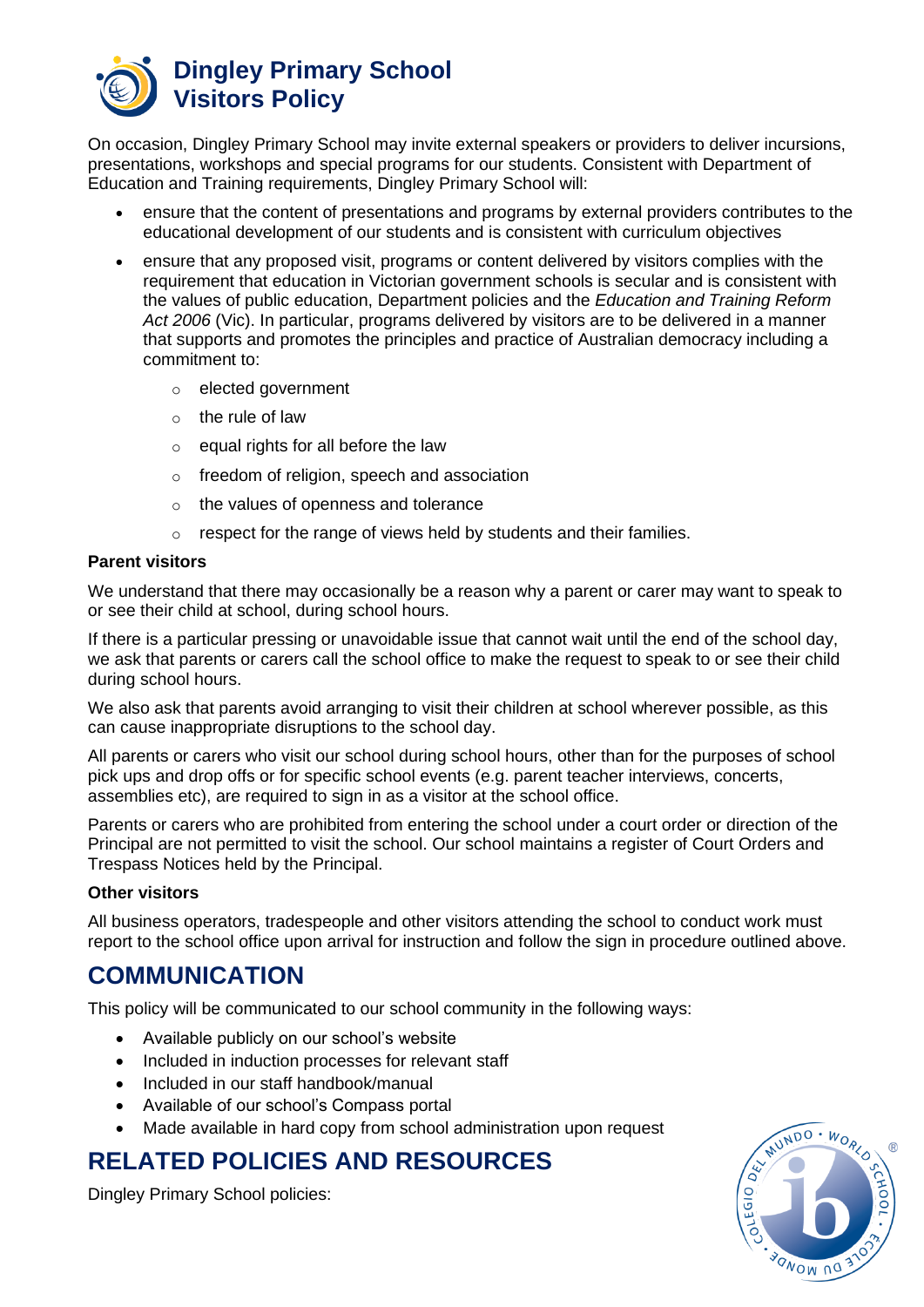

On occasion, Dingley Primary School may invite external speakers or providers to deliver incursions, presentations, workshops and special programs for our students. Consistent with Department of Education and Training requirements, Dingley Primary School will:

- ensure that the content of presentations and programs by external providers contributes to the educational development of our students and is consistent with curriculum objectives
- ensure that any proposed visit, programs or content delivered by visitors complies with the requirement that education in Victorian government schools is secular and is consistent with the values of public education, Department policies and the *Education and Training Reform Act 2006* (Vic). In particular, programs delivered by visitors are to be delivered in a manner that supports and promotes the principles and practice of Australian democracy including a commitment to:
	- o elected government
	- $\circ$  the rule of law
	- $\circ$  equal rights for all before the law
	- o freedom of religion, speech and association
	- o the values of openness and tolerance
	- o respect for the range of views held by students and their families.

#### **Parent visitors**

We understand that there may occasionally be a reason why a parent or carer may want to speak to or see their child at school, during school hours.

If there is a particular pressing or unavoidable issue that cannot wait until the end of the school day, we ask that parents or carers call the school office to make the request to speak to or see their child during school hours.

We also ask that parents avoid arranging to visit their children at school wherever possible, as this can cause inappropriate disruptions to the school day.

All parents or carers who visit our school during school hours, other than for the purposes of school pick ups and drop offs or for specific school events (e.g. parent teacher interviews, concerts, assemblies etc), are required to sign in as a visitor at the school office.

Parents or carers who are prohibited from entering the school under a court order or direction of the Principal are not permitted to visit the school. Our school maintains a register of Court Orders and Trespass Notices held by the Principal.

#### **Other visitors**

All business operators, tradespeople and other visitors attending the school to conduct work must report to the school office upon arrival for instruction and follow the sign in procedure outlined above.

## **COMMUNICATION**

This policy will be communicated to our school community in the following ways:

- Available publicly on our school's website
- Included in induction processes for relevant staff
- Included in our staff handbook/manual
- Available of our school's Compass portal
- Made available in hard copy from school administration upon request

## **RELATED POLICIES AND RESOURCES**

Dingley Primary School policies: